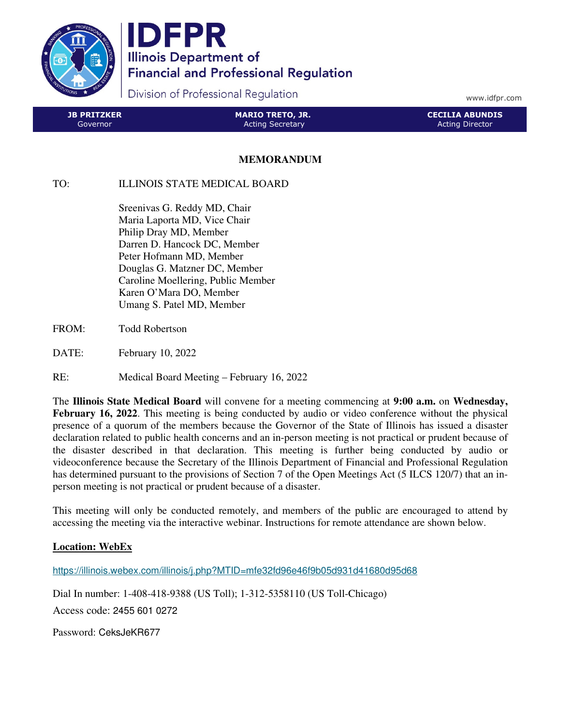

IDFPR **Illinois Department of Financial and Professional Regulation** 

Division of Professional Regulation

www.idfpr.com

| <b>JB PRITZKER</b> | <b>MARIO TRETO, JR.</b> | <b>CECILIA ABUNDIS</b> |
|--------------------|-------------------------|------------------------|
| Governor           | l Acting Secretary      | <b>Acting Director</b> |

## **MEMORANDUM**

## TO: ILLINOIS STATE MEDICAL BOARD

 Sreenivas G. Reddy MD, Chair Maria Laporta MD, Vice Chair Philip Dray MD, Member Darren D. Hancock DC, Member Peter Hofmann MD, Member Douglas G. Matzner DC, Member Caroline Moellering, Public Member Karen O'Mara DO, Member Umang S. Patel MD, Member

- FROM: Todd Robertson
- DATE: February 10, 2022
- RE: Medical Board Meeting February 16, 2022

The **Illinois State Medical Board** will convene for a meeting commencing at **9:00 a.m.** on **Wednesday, February 16, 2022**. This meeting is being conducted by audio or video conference without the physical presence of a quorum of the members because the Governor of the State of Illinois has issued a disaster declaration related to public health concerns and an in-person meeting is not practical or prudent because of the disaster described in that declaration. This meeting is further being conducted by audio or videoconference because the Secretary of the Illinois Department of Financial and Professional Regulation has determined pursuant to the provisions of Section 7 of the Open Meetings Act (5 ILCS 120/7) that an inperson meeting is not practical or prudent because of a disaster.

This meeting will only be conducted remotely, and members of the public are encouraged to attend by accessing the meeting via the interactive webinar. Instructions for remote attendance are shown below.

## **Location: WebEx**

https://illinois.webex.com/illinois/j.php?MTID=mfe32fd96e46f9b05d931d41680d95d68

Dial In number: 1-408-418-9388 (US Toll); 1-312-5358110 (US Toll-Chicago) Access code: 2455 601 0272

Password: CeksJeKR677